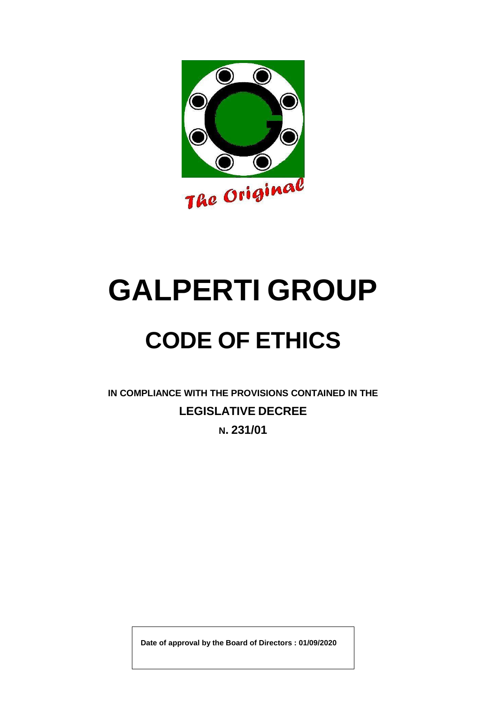

# **GALPERTI GROUP**

## **CODE OF ETHICS**

**IN COMPLIANCE WITH THE PROVISIONS CONTAINED IN THE LEGISLATIVE DECREE N. 231/01**

**Date of approval by the Board of Directors : 01/09/2020**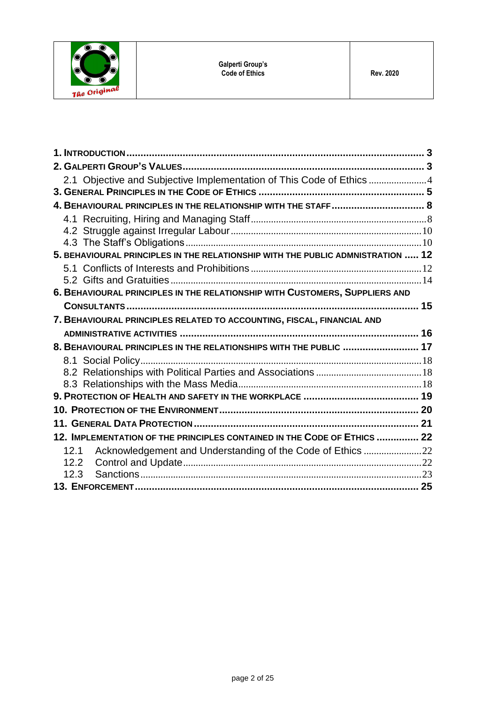

| 2.1 Objective and Subjective Implementation of This Code of Ethics 4            |  |
|---------------------------------------------------------------------------------|--|
|                                                                                 |  |
| 4. BEHAVIOURAL PRINCIPLES IN THE RELATIONSHIP WITH THE STAFF 8                  |  |
|                                                                                 |  |
|                                                                                 |  |
|                                                                                 |  |
| 5. BEHAVIOURAL PRINCIPLES IN THE RELATIONSHIP WITH THE PUBLIC ADMNISTRATION  12 |  |
|                                                                                 |  |
|                                                                                 |  |
| 6. BEHAVIOURAL PRINCIPLES IN THE RELATIONSHIP WITH CUSTOMERS, SUPPLIERS AND     |  |
|                                                                                 |  |
| 7. BEHAVIOURAL PRINCIPLES RELATED TO ACCOUNTING, FISCAL, FINANCIAL AND          |  |
|                                                                                 |  |
| 8. BEHAVIOURAL PRINCIPLES IN THE RELATIONSHIPS WITH THE PUBLIC  17              |  |
|                                                                                 |  |
|                                                                                 |  |
|                                                                                 |  |
|                                                                                 |  |
|                                                                                 |  |
|                                                                                 |  |
| 12. IMPLEMENTATION OF THE PRINCIPLES CONTAINED IN THE CODE OF ETHICS  22        |  |
| Acknowledgement and Understanding of the Code of Ethics 22<br>12.1              |  |
| 12.2                                                                            |  |
| 12.3                                                                            |  |
|                                                                                 |  |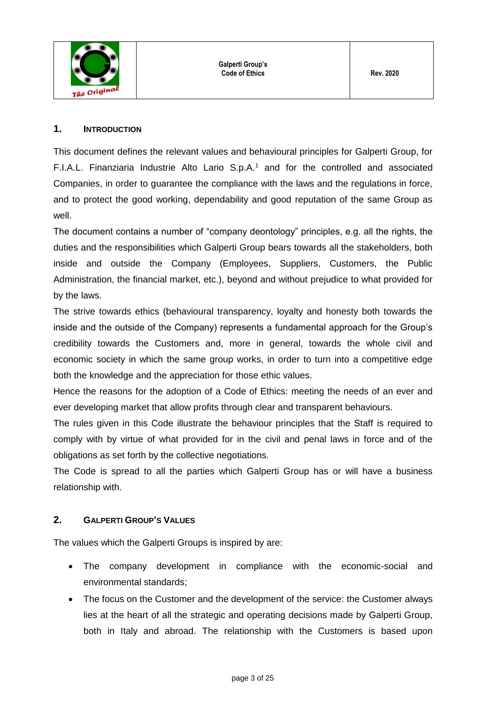

**Galperti Group's Code of Ethics Rev.** 2020

## <span id="page-2-0"></span>**1. INTRODUCTION**

This document defines the relevant values and behavioural principles for Galperti Group, for F.I.A.L. Finanziaria Industrie Alto Lario S.p.A.<sup>1</sup> and for the controlled and associated Companies, in order to guarantee the compliance with the laws and the regulations in force, and to protect the good working, dependability and good reputation of the same Group as well.

The document contains a number of "company deontology" principles, e.g. all the rights, the duties and the responsibilities which Galperti Group bears towards all the stakeholders, both inside and outside the Company (Employees, Suppliers, Customers, the Public Administration, the financial market, etc.), beyond and without prejudice to what provided for by the laws.

The strive towards ethics (behavioural transparency, loyalty and honesty both towards the inside and the outside of the Company) represents a fundamental approach for the Group's credibility towards the Customers and, more in general, towards the whole civil and economic society in which the same group works, in order to turn into a competitive edge both the knowledge and the appreciation for those ethic values.

Hence the reasons for the adoption of a Code of Ethics: meeting the needs of an ever and ever developing market that allow profits through clear and transparent behaviours.

The rules given in this Code illustrate the behaviour principles that the Staff is required to comply with by virtue of what provided for in the civil and penal laws in force and of the obligations as set forth by the collective negotiations.

The Code is spread to all the parties which Galperti Group has or will have a business relationship with.

## <span id="page-2-1"></span>**2. GALPERTI GROUP'S VALUES**

The values which the Galperti Groups is inspired by are:

- The company development in compliance with the economic-social and environmental standards;
- The focus on the Customer and the development of the service: the Customer always lies at the heart of all the strategic and operating decisions made by Galperti Group, both in Italy and abroad. The relationship with the Customers is based upon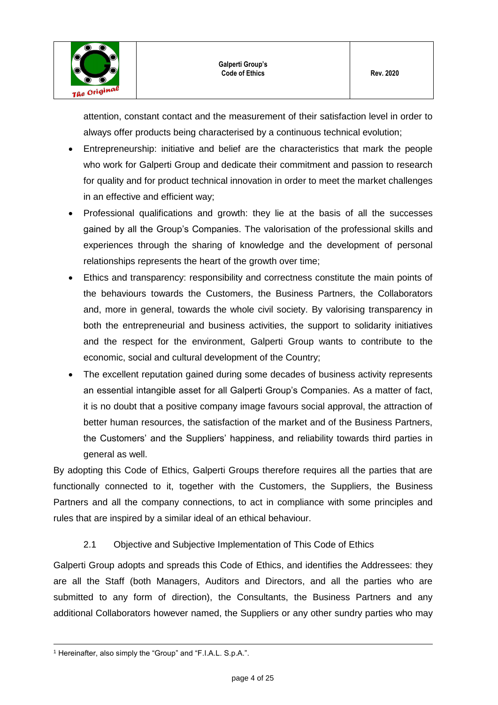

attention, constant contact and the measurement of their satisfaction level in order to always offer products being characterised by a continuous technical evolution;

- Entrepreneurship: initiative and belief are the characteristics that mark the people who work for Galperti Group and dedicate their commitment and passion to research for quality and for product technical innovation in order to meet the market challenges in an effective and efficient way;
- Professional qualifications and growth: they lie at the basis of all the successes gained by all the Group's Companies. The valorisation of the professional skills and experiences through the sharing of knowledge and the development of personal relationships represents the heart of the growth over time;
- Ethics and transparency: responsibility and correctness constitute the main points of the behaviours towards the Customers, the Business Partners, the Collaborators and, more in general, towards the whole civil society. By valorising transparency in both the entrepreneurial and business activities, the support to solidarity initiatives and the respect for the environment, Galperti Group wants to contribute to the economic, social and cultural development of the Country;
- The excellent reputation gained during some decades of business activity represents an essential intangible asset for all Galperti Group's Companies. As a matter of fact, it is no doubt that a positive company image favours social approval, the attraction of better human resources, the satisfaction of the market and of the Business Partners, the Customers' and the Suppliers' happiness, and reliability towards third parties in general as well.

By adopting this Code of Ethics, Galperti Groups therefore requires all the parties that are functionally connected to it, together with the Customers, the Suppliers, the Business Partners and all the company connections, to act in compliance with some principles and rules that are inspired by a similar ideal of an ethical behaviour.

2.1 Objective and Subjective Implementation of This Code of Ethics

<span id="page-3-0"></span>Galperti Group adopts and spreads this Code of Ethics, and identifies the Addressees: they are all the Staff (both Managers, Auditors and Directors, and all the parties who are submitted to any form of direction), the Consultants, the Business Partners and any additional Collaborators however named, the Suppliers or any other sundry parties who may

 $\overline{a}$ <sup>1</sup> Hereinafter, also simply the "Group" and "F.I.A.L. S.p.A.".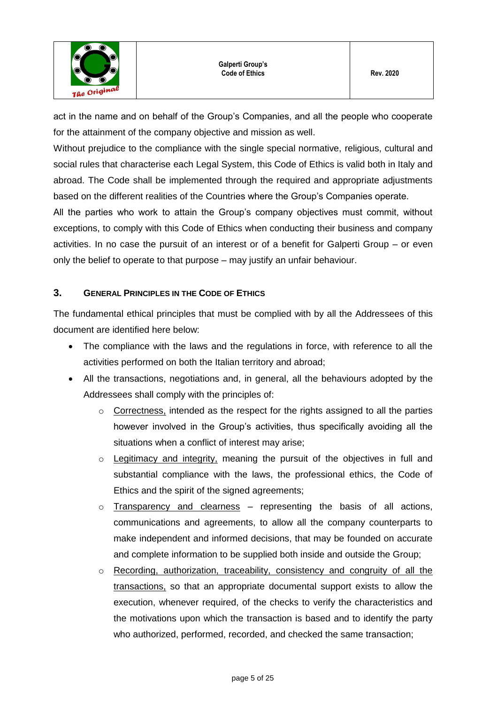act in the name and on behalf of the Group's Companies, and all the people who cooperate for the attainment of the company objective and mission as well.

Without prejudice to the compliance with the single special normative, religious, cultural and social rules that characterise each Legal System, this Code of Ethics is valid both in Italy and abroad. The Code shall be implemented through the required and appropriate adjustments based on the different realities of the Countries where the Group's Companies operate.

All the parties who work to attain the Group's company objectives must commit, without exceptions, to comply with this Code of Ethics when conducting their business and company activities. In no case the pursuit of an interest or of a benefit for Galperti Group – or even only the belief to operate to that purpose – may justify an unfair behaviour.

## <span id="page-4-0"></span>**3. GENERAL PRINCIPLES IN THE CODE OF ETHICS**

The fundamental ethical principles that must be complied with by all the Addressees of this document are identified here below:

- The compliance with the laws and the regulations in force, with reference to all the activities performed on both the Italian territory and abroad;
- All the transactions, negotiations and, in general, all the behaviours adopted by the Addressees shall comply with the principles of:
	- $\circ$  Correctness, intended as the respect for the rights assigned to all the parties however involved in the Group's activities, thus specifically avoiding all the situations when a conflict of interest may arise;
	- o Legitimacy and integrity, meaning the pursuit of the objectives in full and substantial compliance with the laws, the professional ethics, the Code of Ethics and the spirit of the signed agreements;
	- $\circ$  Transparency and clearness representing the basis of all actions, communications and agreements, to allow all the company counterparts to make independent and informed decisions, that may be founded on accurate and complete information to be supplied both inside and outside the Group;
	- $\circ$  Recording, authorization, traceability, consistency and congruity of all the transactions, so that an appropriate documental support exists to allow the execution, whenever required, of the checks to verify the characteristics and the motivations upon which the transaction is based and to identify the party who authorized, performed, recorded, and checked the same transaction;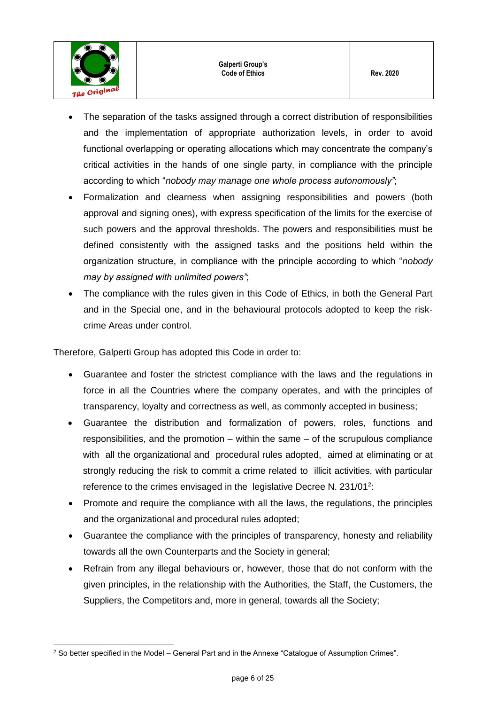

- The separation of the tasks assigned through a correct distribution of responsibilities and the implementation of appropriate authorization levels, in order to avoid functional overlapping or operating allocations which may concentrate the company's critical activities in the hands of one single party, in compliance with the principle according to which "*nobody may manage one whole process autonomously"*;
- Formalization and clearness when assigning responsibilities and powers (both approval and signing ones), with express specification of the limits for the exercise of such powers and the approval thresholds. The powers and responsibilities must be defined consistently with the assigned tasks and the positions held within the organization structure, in compliance with the principle according to which "*nobody may by assigned with unlimited powers"*;
- The compliance with the rules given in this Code of Ethics, in both the General Part and in the Special one, and in the behavioural protocols adopted to keep the riskcrime Areas under control.

Therefore, Galperti Group has adopted this Code in order to:

- Guarantee and foster the strictest compliance with the laws and the regulations in force in all the Countries where the company operates, and with the principles of transparency, loyalty and correctness as well, as commonly accepted in business;
- Guarantee the distribution and formalization of powers, roles, functions and responsibilities, and the promotion – within the same – of the scrupulous compliance with all the organizational and procedural rules adopted, aimed at eliminating or at strongly reducing the risk to commit a crime related to illicit activities, with particular reference to the crimes envisaged in the legislative Decree N. 231/01<sup>2</sup>:
- Promote and require the compliance with all the laws, the regulations, the principles and the organizational and procedural rules adopted;
- Guarantee the compliance with the principles of transparency, honesty and reliability towards all the own Counterparts and the Society in general;
- Refrain from any illegal behaviours or, however, those that do not conform with the given principles, in the relationship with the Authorities, the Staff, the Customers, the Suppliers, the Competitors and, more in general, towards all the Society;

 $\overline{a}$ <sup>2</sup> So better specified in the Model – General Part and in the Annexe "Catalogue of Assumption Crimes".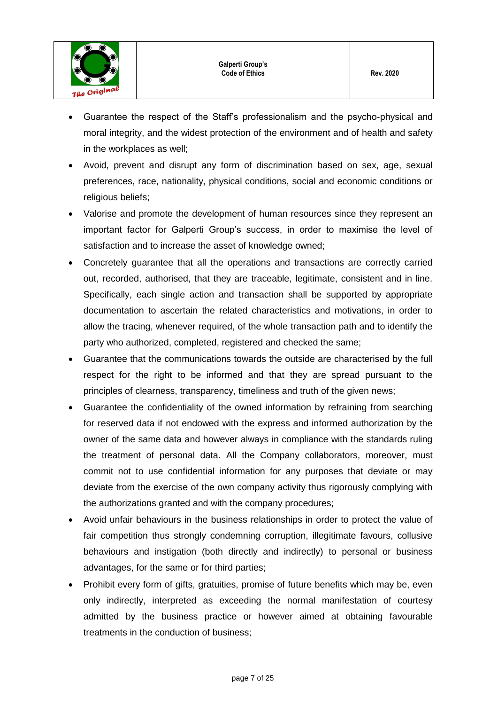

- Guarantee the respect of the Staff's professionalism and the psycho-physical and moral integrity, and the widest protection of the environment and of health and safety in the workplaces as well;
- Avoid, prevent and disrupt any form of discrimination based on sex, age, sexual preferences, race, nationality, physical conditions, social and economic conditions or religious beliefs;
- Valorise and promote the development of human resources since they represent an important factor for Galperti Group's success, in order to maximise the level of satisfaction and to increase the asset of knowledge owned;
- Concretely guarantee that all the operations and transactions are correctly carried out, recorded, authorised, that they are traceable, legitimate, consistent and in line. Specifically, each single action and transaction shall be supported by appropriate documentation to ascertain the related characteristics and motivations, in order to allow the tracing, whenever required, of the whole transaction path and to identify the party who authorized, completed, registered and checked the same;
- Guarantee that the communications towards the outside are characterised by the full respect for the right to be informed and that they are spread pursuant to the principles of clearness, transparency, timeliness and truth of the given news;
- Guarantee the confidentiality of the owned information by refraining from searching for reserved data if not endowed with the express and informed authorization by the owner of the same data and however always in compliance with the standards ruling the treatment of personal data. All the Company collaborators, moreover, must commit not to use confidential information for any purposes that deviate or may deviate from the exercise of the own company activity thus rigorously complying with the authorizations granted and with the company procedures;
- Avoid unfair behaviours in the business relationships in order to protect the value of fair competition thus strongly condemning corruption, illegitimate favours, collusive behaviours and instigation (both directly and indirectly) to personal or business advantages, for the same or for third parties;
- Prohibit every form of gifts, gratuities, promise of future benefits which may be, even only indirectly, interpreted as exceeding the normal manifestation of courtesy admitted by the business practice or however aimed at obtaining favourable treatments in the conduction of business;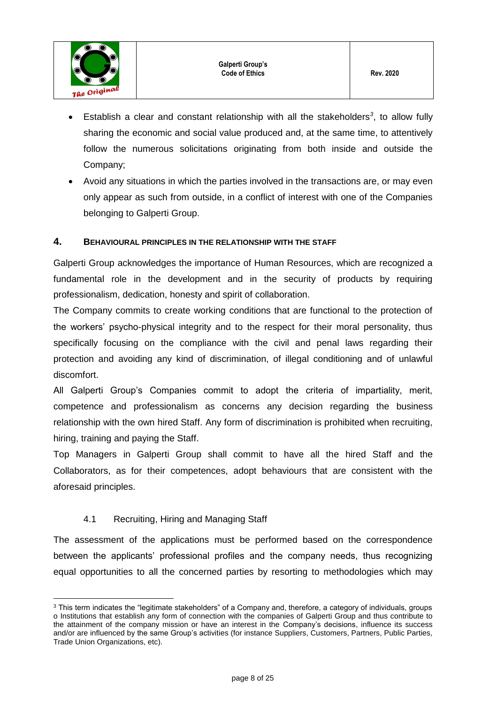

- Establish a clear and constant relationship with all the stakeholders<sup>3</sup>, to allow fully sharing the economic and social value produced and, at the same time, to attentively follow the numerous solicitations originating from both inside and outside the Company;
- Avoid any situations in which the parties involved in the transactions are, or may even only appear as such from outside, in a conflict of interest with one of the Companies belonging to Galperti Group.

#### <span id="page-7-0"></span>**4. BEHAVIOURAL PRINCIPLES IN THE RELATIONSHIP WITH THE STAFF**

Galperti Group acknowledges the importance of Human Resources, which are recognized a fundamental role in the development and in the security of products by requiring professionalism, dedication, honesty and spirit of collaboration.

The Company commits to create working conditions that are functional to the protection of the workers' psycho-physical integrity and to the respect for their moral personality, thus specifically focusing on the compliance with the civil and penal laws regarding their protection and avoiding any kind of discrimination, of illegal conditioning and of unlawful discomfort.

All Galperti Group's Companies commit to adopt the criteria of impartiality, merit, competence and professionalism as concerns any decision regarding the business relationship with the own hired Staff. Any form of discrimination is prohibited when recruiting, hiring, training and paying the Staff.

Top Managers in Galperti Group shall commit to have all the hired Staff and the Collaborators, as for their competences, adopt behaviours that are consistent with the aforesaid principles.

## 4.1 Recruiting, Hiring and Managing Staff

 $\overline{a}$ 

<span id="page-7-1"></span>The assessment of the applications must be performed based on the correspondence between the applicants' professional profiles and the company needs, thus recognizing equal opportunities to all the concerned parties by resorting to methodologies which may

<sup>&</sup>lt;sup>3</sup> This term indicates the "legitimate stakeholders" of a Company and, therefore, a category of individuals, groups o Institutions that establish any form of connection with the companies of Galperti Group and thus contribute to the attainment of the company mission or have an interest in the Company's decisions, influence its success and/or are influenced by the same Group's activities (for instance Suppliers, Customers, Partners, Public Parties, Trade Union Organizations, etc).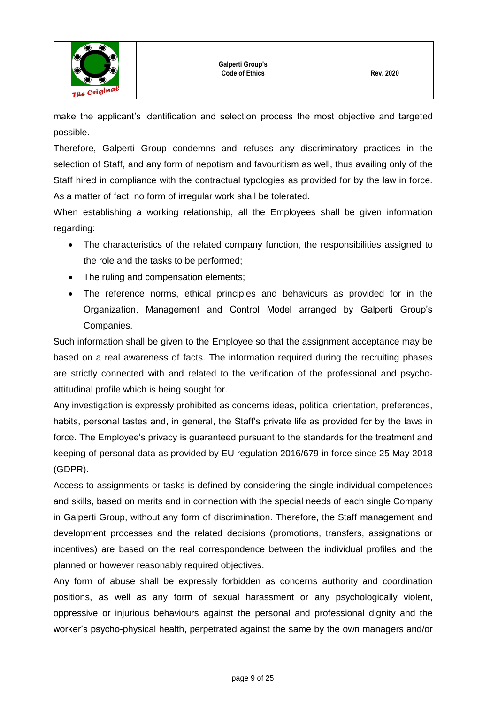

make the applicant's identification and selection process the most objective and targeted possible.

Therefore, Galperti Group condemns and refuses any discriminatory practices in the selection of Staff, and any form of nepotism and favouritism as well, thus availing only of the Staff hired in compliance with the contractual typologies as provided for by the law in force. As a matter of fact, no form of irregular work shall be tolerated.

When establishing a working relationship, all the Employees shall be given information regarding:

- The characteristics of the related company function, the responsibilities assigned to the role and the tasks to be performed;
- The ruling and compensation elements;
- The reference norms, ethical principles and behaviours as provided for in the Organization, Management and Control Model arranged by Galperti Group's Companies.

Such information shall be given to the Employee so that the assignment acceptance may be based on a real awareness of facts. The information required during the recruiting phases are strictly connected with and related to the verification of the professional and psychoattitudinal profile which is being sought for.

Any investigation is expressly prohibited as concerns ideas, political orientation, preferences, habits, personal tastes and, in general, the Staff's private life as provided for by the laws in force. The Employee's privacy is guaranteed pursuant to the standards for the treatment and keeping of personal data as provided by EU regulation 2016/679 in force since 25 May 2018 (GDPR).

Access to assignments or tasks is defined by considering the single individual competences and skills, based on merits and in connection with the special needs of each single Company in Galperti Group, without any form of discrimination. Therefore, the Staff management and development processes and the related decisions (promotions, transfers, assignations or incentives) are based on the real correspondence between the individual profiles and the planned or however reasonably required objectives.

Any form of abuse shall be expressly forbidden as concerns authority and coordination positions, as well as any form of sexual harassment or any psychologically violent, oppressive or injurious behaviours against the personal and professional dignity and the worker's psycho-physical health, perpetrated against the same by the own managers and/or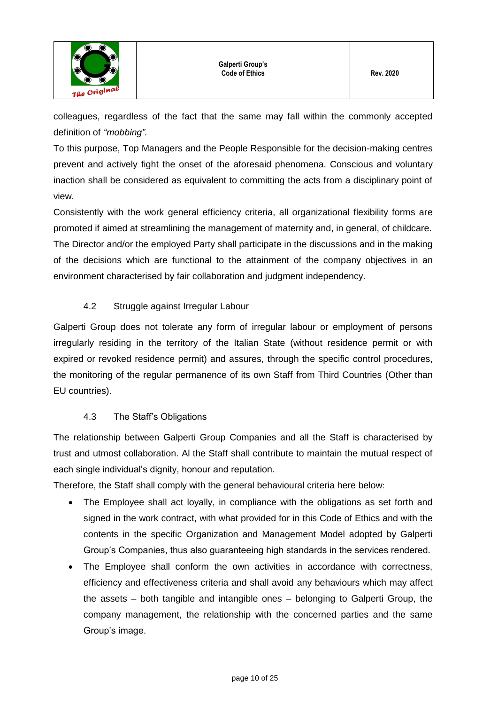

colleagues, regardless of the fact that the same may fall within the commonly accepted definition of *"mobbing".*

To this purpose, Top Managers and the People Responsible for the decision-making centres prevent and actively fight the onset of the aforesaid phenomena. Conscious and voluntary inaction shall be considered as equivalent to committing the acts from a disciplinary point of view.

Consistently with the work general efficiency criteria, all organizational flexibility forms are promoted if aimed at streamlining the management of maternity and, in general, of childcare. The Director and/or the employed Party shall participate in the discussions and in the making of the decisions which are functional to the attainment of the company objectives in an environment characterised by fair collaboration and judgment independency.

## 4.2 Struggle against Irregular Labour

<span id="page-9-0"></span>Galperti Group does not tolerate any form of irregular labour or employment of persons irregularly residing in the territory of the Italian State (without residence permit or with expired or revoked residence permit) and assures, through the specific control procedures, the monitoring of the regular permanence of its own Staff from Third Countries (Other than EU countries).

## 4.3 The Staff's Obligations

<span id="page-9-1"></span>The relationship between Galperti Group Companies and all the Staff is characterised by trust and utmost collaboration. Al the Staff shall contribute to maintain the mutual respect of each single individual's dignity, honour and reputation.

Therefore, the Staff shall comply with the general behavioural criteria here below:

- The Employee shall act loyally, in compliance with the obligations as set forth and signed in the work contract, with what provided for in this Code of Ethics and with the contents in the specific Organization and Management Model adopted by Galperti Group's Companies, thus also guaranteeing high standards in the services rendered.
- The Employee shall conform the own activities in accordance with correctness, efficiency and effectiveness criteria and shall avoid any behaviours which may affect the assets – both tangible and intangible ones – belonging to Galperti Group, the company management, the relationship with the concerned parties and the same Group's image.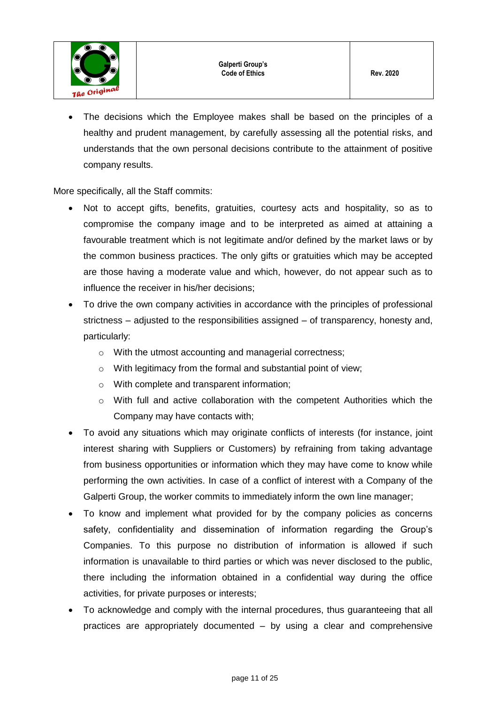The decisions which the Employee makes shall be based on the principles of a healthy and prudent management, by carefully assessing all the potential risks, and understands that the own personal decisions contribute to the attainment of positive company results.

More specifically, all the Staff commits:

- Not to accept gifts, benefits, gratuities, courtesy acts and hospitality, so as to compromise the company image and to be interpreted as aimed at attaining a favourable treatment which is not legitimate and/or defined by the market laws or by the common business practices. The only gifts or gratuities which may be accepted are those having a moderate value and which, however, do not appear such as to influence the receiver in his/her decisions;
- To drive the own company activities in accordance with the principles of professional strictness – adjusted to the responsibilities assigned – of transparency, honesty and, particularly:
	- o With the utmost accounting and managerial correctness;
	- o With legitimacy from the formal and substantial point of view;
	- o With complete and transparent information;
	- $\circ$  With full and active collaboration with the competent Authorities which the Company may have contacts with;
- To avoid any situations which may originate conflicts of interests (for instance, joint interest sharing with Suppliers or Customers) by refraining from taking advantage from business opportunities or information which they may have come to know while performing the own activities. In case of a conflict of interest with a Company of the Galperti Group, the worker commits to immediately inform the own line manager;
- To know and implement what provided for by the company policies as concerns safety, confidentiality and dissemination of information regarding the Group's Companies. To this purpose no distribution of information is allowed if such information is unavailable to third parties or which was never disclosed to the public, there including the information obtained in a confidential way during the office activities, for private purposes or interests;
- To acknowledge and comply with the internal procedures, thus guaranteeing that all practices are appropriately documented – by using a clear and comprehensive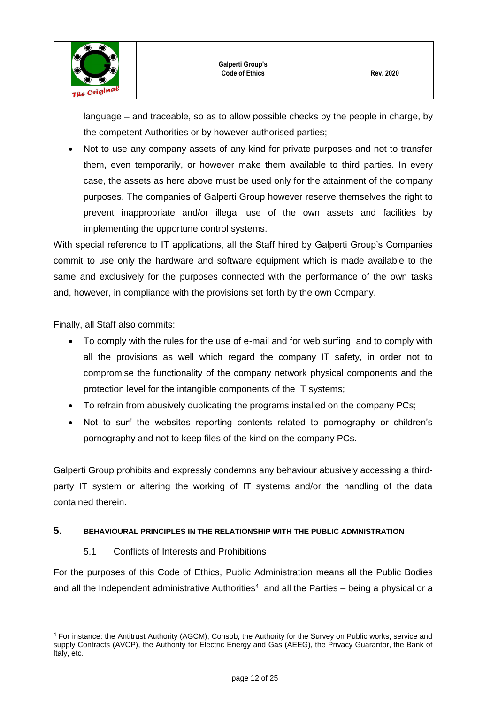language – and traceable, so as to allow possible checks by the people in charge, by the competent Authorities or by however authorised parties;

 Not to use any company assets of any kind for private purposes and not to transfer them, even temporarily, or however make them available to third parties. In every case, the assets as here above must be used only for the attainment of the company purposes. The companies of Galperti Group however reserve themselves the right to prevent inappropriate and/or illegal use of the own assets and facilities by implementing the opportune control systems.

With special reference to IT applications, all the Staff hired by Galperti Group's Companies commit to use only the hardware and software equipment which is made available to the same and exclusively for the purposes connected with the performance of the own tasks and, however, in compliance with the provisions set forth by the own Company.

Finally, all Staff also commits:

- To comply with the rules for the use of e-mail and for web surfing, and to comply with all the provisions as well which regard the company IT safety, in order not to compromise the functionality of the company network physical components and the protection level for the intangible components of the IT systems;
- To refrain from abusively duplicating the programs installed on the company PCs;
- Not to surf the websites reporting contents related to pornography or children's pornography and not to keep files of the kind on the company PCs.

Galperti Group prohibits and expressly condemns any behaviour abusively accessing a thirdparty IT system or altering the working of IT systems and/or the handling of the data contained therein.

## <span id="page-11-0"></span>**5. BEHAVIOURAL PRINCIPLES IN THE RELATIONSHIP WITH THE PUBLIC ADMNISTRATION**

## 5.1 Conflicts of Interests and Prohibitions

<span id="page-11-1"></span>For the purposes of this Code of Ethics, Public Administration means all the Public Bodies and all the Independent administrative Authorities<sup>4</sup>, and all the Parties  $-$  being a physical or a

 $\overline{a}$ <sup>4</sup> For instance: the Antitrust Authority (AGCM), Consob, the Authority for the Survey on Public works, service and supply Contracts (AVCP), the Authority for Electric Energy and Gas (AEEG), the Privacy Guarantor, the Bank of Italy, etc.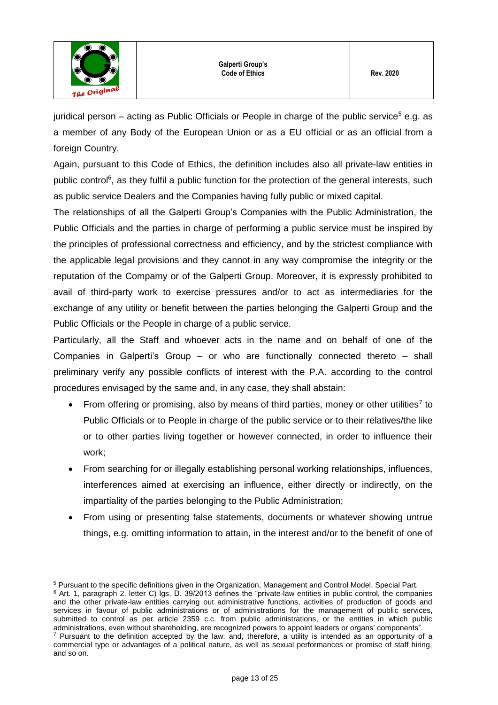

juridical person – acting as Public Officials or People in charge of the public service<sup>5</sup> e.g. as a member of any Body of the European Union or as a EU official or as an official from a foreign Country.

Again, pursuant to this Code of Ethics, the definition includes also all private-law entities in public control<sup>6</sup>, as they fulfil a public function for the protection of the general interests, such as public service Dealers and the Companies having fully public or mixed capital.

The relationships of all the Galperti Group's Companies with the Public Administration, the Public Officials and the parties in charge of performing a public service must be inspired by the principles of professional correctness and efficiency, and by the strictest compliance with the applicable legal provisions and they cannot in any way compromise the integrity or the reputation of the Compamy or of the Galperti Group. Moreover, it is expressly prohibited to avail of third-party work to exercise pressures and/or to act as intermediaries for the exchange of any utility or benefit between the parties belonging the Galperti Group and the Public Officials or the People in charge of a public service.

Particularly, all the Staff and whoever acts in the name and on behalf of one of the Companies in Galperti's Group – or who are functionally connected thereto – shall preliminary verify any possible conflicts of interest with the P.A. according to the control procedures envisaged by the same and, in any case, they shall abstain:

- From offering or promising, also by means of third parties, money or other utilities<sup>7</sup> to Public Officials or to People in charge of the public service or to their relatives/the like or to other parties living together or however connected, in order to influence their work;
- From searching for or illegally establishing personal working relationships, influences, interferences aimed at exercising an influence, either directly or indirectly, on the impartiality of the parties belonging to the Public Administration;
- From using or presenting false statements, documents or whatever showing untrue things, e.g. omitting information to attain, in the interest and/or to the benefit of one of

 $\overline{a}$ <sup>5</sup> Pursuant to the specific definitions given in the Organization, Management and Control Model, Special Part.

<sup>&</sup>lt;sup>6</sup> Art. 1, paragraph 2, letter C) lgs. D. 39/2013 defines the "private-law entities in public control, the companies and the other private-law entities carrying out administrative functions, activities of production of goods and services in favour of public administrations or of administrations for the management of public services, submitted to control as per article 2359 c.c. from public administrations, or the entities in which public administrations, even without shareholding, are recognized powers to appoint leaders or organs' components".

<sup>7</sup> Pursuant to the definition accepted by the law: and, therefore, a utility is intended as an opportunity of a commercial type or advantages of a political nature, as well as sexual performances or promise of staff hiring, and so on.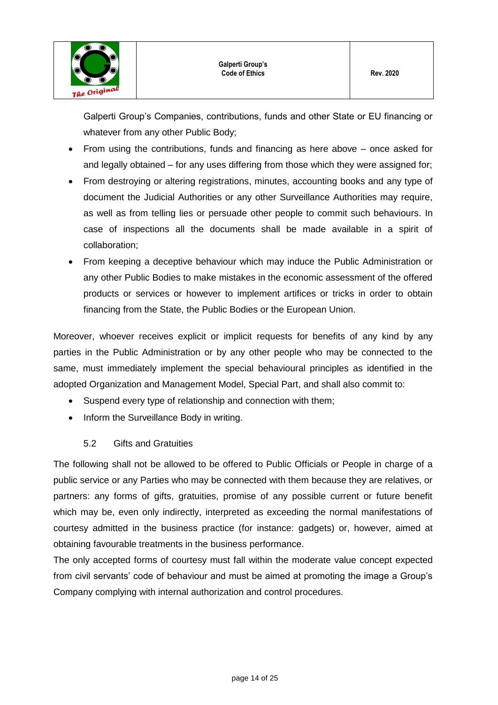

Galperti Group's Companies, contributions, funds and other State or EU financing or whatever from any other Public Body;

- From using the contributions, funds and financing as here above once asked for and legally obtained – for any uses differing from those which they were assigned for;
- From destroying or altering registrations, minutes, accounting books and any type of document the Judicial Authorities or any other Surveillance Authorities may require, as well as from telling lies or persuade other people to commit such behaviours. In case of inspections all the documents shall be made available in a spirit of collaboration;
- From keeping a deceptive behaviour which may induce the Public Administration or any other Public Bodies to make mistakes in the economic assessment of the offered products or services or however to implement artifices or tricks in order to obtain financing from the State, the Public Bodies or the European Union.

Moreover, whoever receives explicit or implicit requests for benefits of any kind by any parties in the Public Administration or by any other people who may be connected to the same, must immediately implement the special behavioural principles as identified in the adopted Organization and Management Model, Special Part, and shall also commit to:

- Suspend every type of relationship and connection with them;
- Inform the Surveillance Body in writing.

## 5.2 Gifts and Gratuities

<span id="page-13-0"></span>The following shall not be allowed to be offered to Public Officials or People in charge of a public service or any Parties who may be connected with them because they are relatives, or partners: any forms of gifts, gratuities, promise of any possible current or future benefit which may be, even only indirectly, interpreted as exceeding the normal manifestations of courtesy admitted in the business practice (for instance: gadgets) or, however, aimed at obtaining favourable treatments in the business performance.

The only accepted forms of courtesy must fall within the moderate value concept expected from civil servants' code of behaviour and must be aimed at promoting the image a Group's Company complying with internal authorization and control procedures.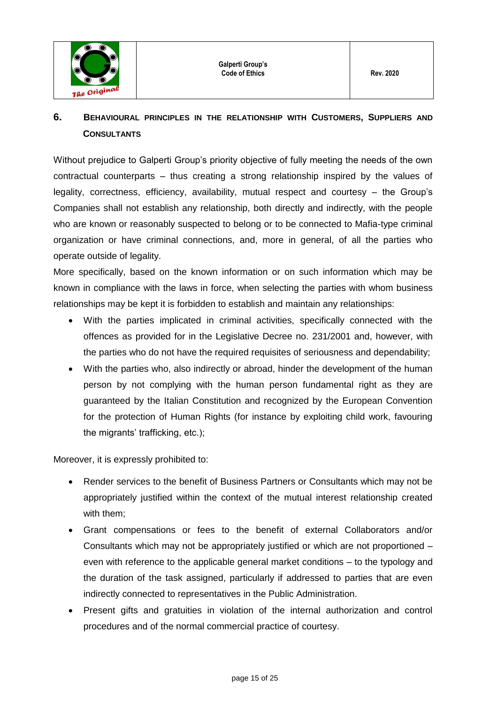

## <span id="page-14-0"></span>**6. BEHAVIOURAL PRINCIPLES IN THE RELATIONSHIP WITH CUSTOMERS, SUPPLIERS AND CONSULTANTS**

Without prejudice to Galperti Group's priority objective of fully meeting the needs of the own contractual counterparts – thus creating a strong relationship inspired by the values of legality, correctness, efficiency, availability, mutual respect and courtesy – the Group's Companies shall not establish any relationship, both directly and indirectly, with the people who are known or reasonably suspected to belong or to be connected to Mafia-type criminal organization or have criminal connections, and, more in general, of all the parties who operate outside of legality.

More specifically, based on the known information or on such information which may be known in compliance with the laws in force, when selecting the parties with whom business relationships may be kept it is forbidden to establish and maintain any relationships:

- With the parties implicated in criminal activities, specifically connected with the offences as provided for in the Legislative Decree no. 231/2001 and, however, with the parties who do not have the required requisites of seriousness and dependability;
- With the parties who, also indirectly or abroad, hinder the development of the human person by not complying with the human person fundamental right as they are guaranteed by the Italian Constitution and recognized by the European Convention for the protection of Human Rights (for instance by exploiting child work, favouring the migrants' trafficking, etc.);

Moreover, it is expressly prohibited to:

- Render services to the benefit of Business Partners or Consultants which may not be appropriately justified within the context of the mutual interest relationship created with them;
- Grant compensations or fees to the benefit of external Collaborators and/or Consultants which may not be appropriately justified or which are not proportioned – even with reference to the applicable general market conditions – to the typology and the duration of the task assigned, particularly if addressed to parties that are even indirectly connected to representatives in the Public Administration.
- Present gifts and gratuities in violation of the internal authorization and control procedures and of the normal commercial practice of courtesy.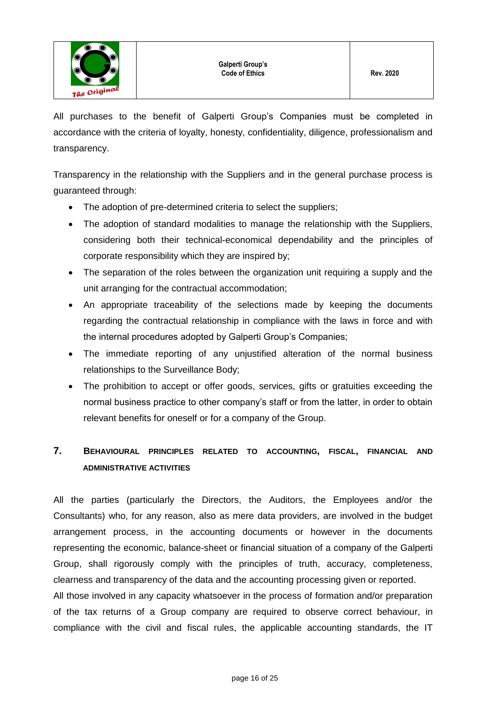

All purchases to the benefit of Galperti Group's Companies must be completed in accordance with the criteria of loyalty, honesty, confidentiality, diligence, professionalism and transparency.

Transparency in the relationship with the Suppliers and in the general purchase process is guaranteed through:

- The adoption of pre-determined criteria to select the suppliers;
- The adoption of standard modalities to manage the relationship with the Suppliers, considering both their technical-economical dependability and the principles of corporate responsibility which they are inspired by;
- The separation of the roles between the organization unit requiring a supply and the unit arranging for the contractual accommodation;
- An appropriate traceability of the selections made by keeping the documents regarding the contractual relationship in compliance with the laws in force and with the internal procedures adopted by Galperti Group's Companies;
- The immediate reporting of any unjustified alteration of the normal business relationships to the Surveillance Body;
- The prohibition to accept or offer goods, services, gifts or gratuities exceeding the normal business practice to other company's staff or from the latter, in order to obtain relevant benefits for oneself or for a company of the Group.

## <span id="page-15-0"></span>**7. BEHAVIOURAL PRINCIPLES RELATED TO ACCOUNTING, FISCAL, FINANCIAL AND ADMINISTRATIVE ACTIVITIES**

All the parties (particularly the Directors, the Auditors, the Employees and/or the Consultants) who, for any reason, also as mere data providers, are involved in the budget arrangement process, in the accounting documents or however in the documents representing the economic, balance-sheet or financial situation of a company of the Galperti Group, shall rigorously comply with the principles of truth, accuracy, completeness, clearness and transparency of the data and the accounting processing given or reported. All those involved in any capacity whatsoever in the process of formation and/or preparation of the tax returns of a Group company are required to observe correct behaviour, in compliance with the civil and fiscal rules, the applicable accounting standards, the IT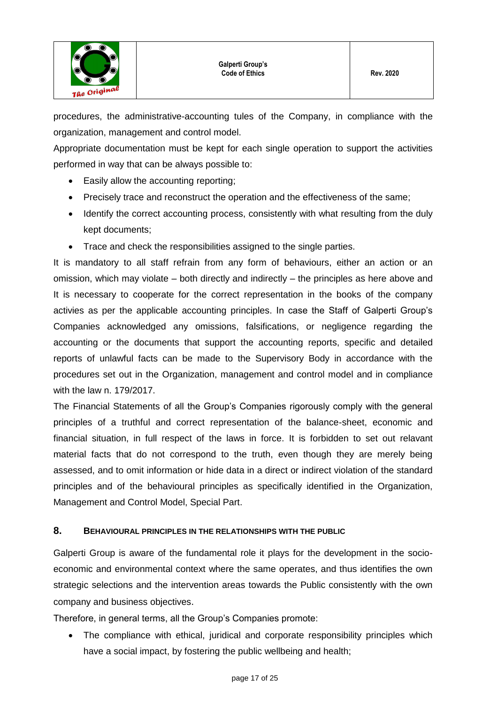

procedures, the administrative-accounting tules of the Company, in compliance with the organization, management and control model.

Appropriate documentation must be kept for each single operation to support the activities performed in way that can be always possible to:

- Easily allow the accounting reporting;
- Precisely trace and reconstruct the operation and the effectiveness of the same;
- Identify the correct accounting process, consistently with what resulting from the duly kept documents;
- Trace and check the responsibilities assigned to the single parties.

It is mandatory to all staff refrain from any form of behaviours, either an action or an omission, which may violate – both directly and indirectly – the principles as here above and It is necessary to cooperate for the correct representation in the books of the company activies as per the applicable accounting principles. In case the Staff of Galperti Group's Companies acknowledged any omissions, falsifications, or negligence regarding the accounting or the documents that support the accounting reports, specific and detailed reports of unlawful facts can be made to the Supervisory Body in accordance with the procedures set out in the Organization, management and control model and in compliance with the law n. 179/2017.

The Financial Statements of all the Group's Companies rigorously comply with the general principles of a truthful and correct representation of the balance-sheet, economic and financial situation, in full respect of the laws in force. It is forbidden to set out relavant material facts that do not correspond to the truth, even though they are merely being assessed, and to omit information or hide data in a direct or indirect violation of the standard principles and of the behavioural principles as specifically identified in the Organization, Management and Control Model, Special Part.

## <span id="page-16-0"></span>**8. BEHAVIOURAL PRINCIPLES IN THE RELATIONSHIPS WITH THE PUBLIC**

Galperti Group is aware of the fundamental role it plays for the development in the socioeconomic and environmental context where the same operates, and thus identifies the own strategic selections and the intervention areas towards the Public consistently with the own company and business objectives.

Therefore, in general terms, all the Group's Companies promote:

• The compliance with ethical, juridical and corporate responsibility principles which have a social impact, by fostering the public wellbeing and health;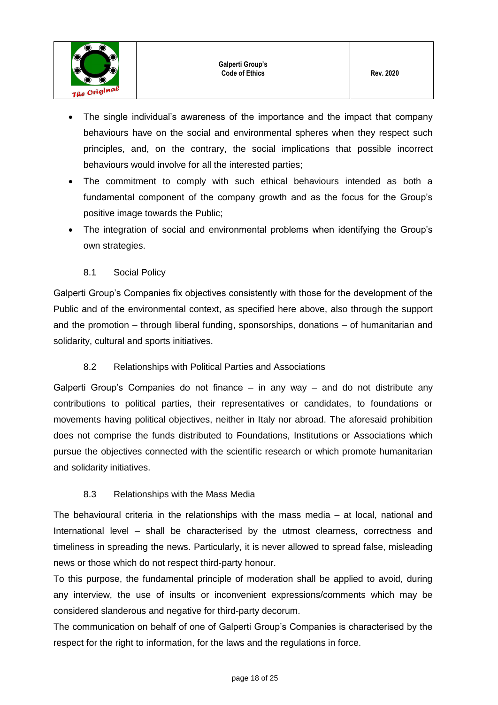

- The single individual's awareness of the importance and the impact that company behaviours have on the social and environmental spheres when they respect such principles, and, on the contrary, the social implications that possible incorrect behaviours would involve for all the interested parties;
- The commitment to comply with such ethical behaviours intended as both a fundamental component of the company growth and as the focus for the Group's positive image towards the Public;
- The integration of social and environmental problems when identifying the Group's own strategies.
	- 8.1 Social Policy

<span id="page-17-0"></span>Galperti Group's Companies fix objectives consistently with those for the development of the Public and of the environmental context, as specified here above, also through the support and the promotion – through liberal funding, sponsorships, donations – of humanitarian and solidarity, cultural and sports initiatives.

## 8.2 Relationships with Political Parties and Associations

<span id="page-17-1"></span>Galperti Group's Companies do not finance – in any way – and do not distribute any contributions to political parties, their representatives or candidates, to foundations or movements having political objectives, neither in Italy nor abroad. The aforesaid prohibition does not comprise the funds distributed to Foundations, Institutions or Associations which pursue the objectives connected with the scientific research or which promote humanitarian and solidarity initiatives.

## 8.3 Relationships with the Mass Media

<span id="page-17-2"></span>The behavioural criteria in the relationships with the mass media – at local, national and International level – shall be characterised by the utmost clearness, correctness and timeliness in spreading the news. Particularly, it is never allowed to spread false, misleading news or those which do not respect third-party honour.

To this purpose, the fundamental principle of moderation shall be applied to avoid, during any interview, the use of insults or inconvenient expressions/comments which may be considered slanderous and negative for third-party decorum.

The communication on behalf of one of Galperti Group's Companies is characterised by the respect for the right to information, for the laws and the regulations in force.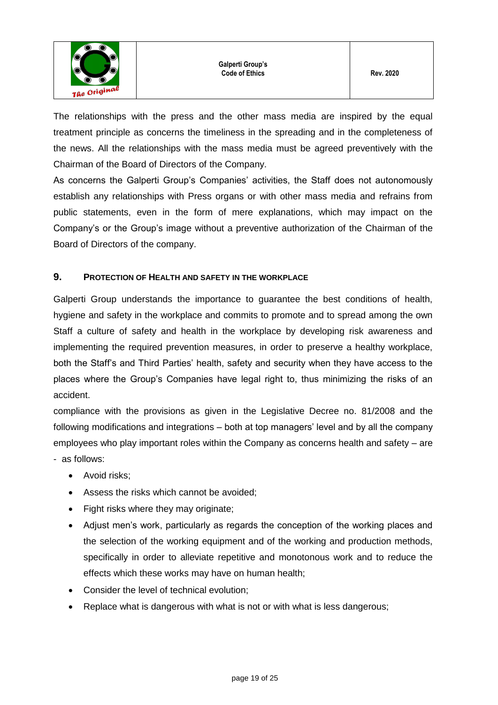

The relationships with the press and the other mass media are inspired by the equal treatment principle as concerns the timeliness in the spreading and in the completeness of the news. All the relationships with the mass media must be agreed preventively with the Chairman of the Board of Directors of the Company.

As concerns the Galperti Group's Companies' activities, the Staff does not autonomously establish any relationships with Press organs or with other mass media and refrains from public statements, even in the form of mere explanations, which may impact on the Company's or the Group's image without a preventive authorization of the Chairman of the Board of Directors of the company.

## <span id="page-18-0"></span>**9. PROTECTION OF HEALTH AND SAFETY IN THE WORKPLACE**

Galperti Group understands the importance to guarantee the best conditions of health, hygiene and safety in the workplace and commits to promote and to spread among the own Staff a culture of safety and health in the workplace by developing risk awareness and implementing the required prevention measures, in order to preserve a healthy workplace, both the Staff's and Third Parties' health, safety and security when they have access to the places where the Group's Companies have legal right to, thus minimizing the risks of an accident.

compliance with the provisions as given in the Legislative Decree no. 81/2008 and the following modifications and integrations – both at top managers' level and by all the company employees who play important roles within the Company as concerns health and safety – are - as follows:

- Avoid risks;
- Assess the risks which cannot be avoided;
- Fight risks where they may originate;
- Adjust men's work, particularly as regards the conception of the working places and the selection of the working equipment and of the working and production methods, specifically in order to alleviate repetitive and monotonous work and to reduce the effects which these works may have on human health;
- Consider the level of technical evolution;
- Replace what is dangerous with what is not or with what is less dangerous;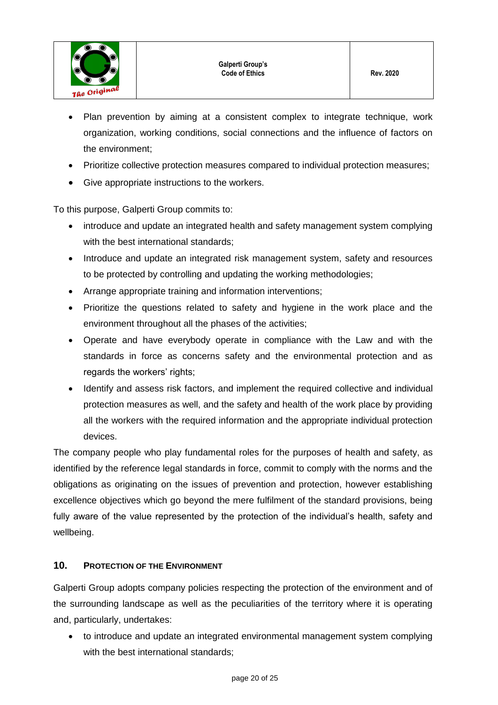

- Plan prevention by aiming at a consistent complex to integrate technique, work organization, working conditions, social connections and the influence of factors on the environment;
- Prioritize collective protection measures compared to individual protection measures;
- Give appropriate instructions to the workers.

To this purpose, Galperti Group commits to:

- introduce and update an integrated health and safety management system complying with the best international standards:
- Introduce and update an integrated risk management system, safety and resources to be protected by controlling and updating the working methodologies;
- Arrange appropriate training and information interventions;
- Prioritize the questions related to safety and hygiene in the work place and the environment throughout all the phases of the activities;
- Operate and have everybody operate in compliance with the Law and with the standards in force as concerns safety and the environmental protection and as regards the workers' rights;
- Identify and assess risk factors, and implement the required collective and individual protection measures as well, and the safety and health of the work place by providing all the workers with the required information and the appropriate individual protection devices.

The company people who play fundamental roles for the purposes of health and safety, as identified by the reference legal standards in force, commit to comply with the norms and the obligations as originating on the issues of prevention and protection, however establishing excellence objectives which go beyond the mere fulfilment of the standard provisions, being fully aware of the value represented by the protection of the individual's health, safety and wellbeing.

## <span id="page-19-0"></span>**10. PROTECTION OF THE ENVIRONMENT**

Galperti Group adopts company policies respecting the protection of the environment and of the surrounding landscape as well as the peculiarities of the territory where it is operating and, particularly, undertakes:

 to introduce and update an integrated environmental management system complying with the best international standards: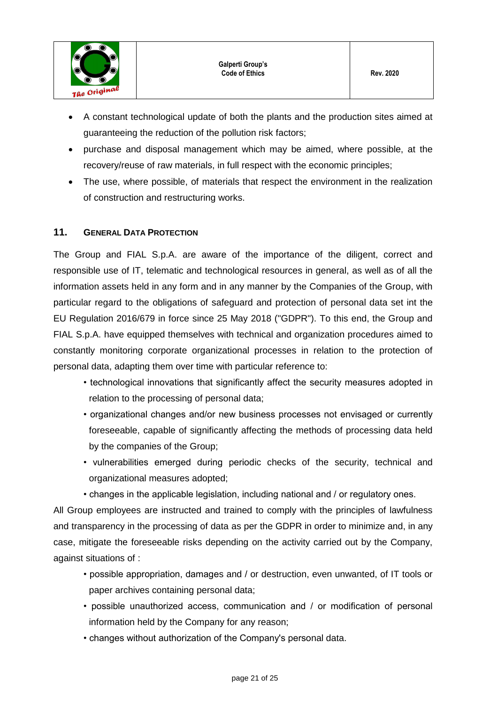

- A constant technological update of both the plants and the production sites aimed at guaranteeing the reduction of the pollution risk factors;
- purchase and disposal management which may be aimed, where possible, at the recovery/reuse of raw materials, in full respect with the economic principles;
- The use, where possible, of materials that respect the environment in the realization of construction and restructuring works.

## <span id="page-20-0"></span>**11. GENERAL DATA PROTECTION**

The Group and FIAL S.p.A. are aware of the importance of the diligent, correct and responsible use of IT, telematic and technological resources in general, as well as of all the information assets held in any form and in any manner by the Companies of the Group, with particular regard to the obligations of safeguard and protection of personal data set int the EU Regulation 2016/679 in force since 25 May 2018 ("GDPR"). To this end, the Group and FIAL S.p.A. have equipped themselves with technical and organization procedures aimed to constantly monitoring corporate organizational processes in relation to the protection of personal data, adapting them over time with particular reference to:

- technological innovations that significantly affect the security measures adopted in relation to the processing of personal data;
- organizational changes and/or new business processes not envisaged or currently foreseeable, capable of significantly affecting the methods of processing data held by the companies of the Group;
- vulnerabilities emerged during periodic checks of the security, technical and organizational measures adopted;
- changes in the applicable legislation, including national and / or regulatory ones.

All Group employees are instructed and trained to comply with the principles of lawfulness and transparency in the processing of data as per the GDPR in order to minimize and, in any case, mitigate the foreseeable risks depending on the activity carried out by the Company, against situations of :

- possible appropriation, damages and / or destruction, even unwanted, of IT tools or paper archives containing personal data;
- possible unauthorized access, communication and / or modification of personal information held by the Company for any reason;
- changes without authorization of the Company's personal data.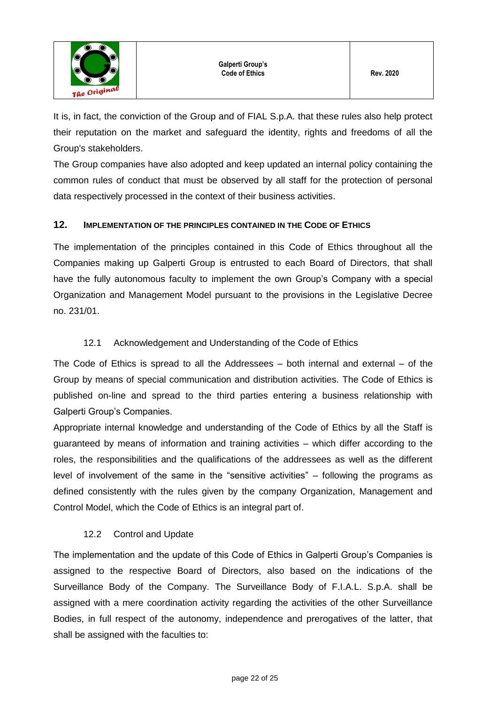

It is, in fact, the conviction of the Group and of FIAL S.p.A. that these rules also help protect their reputation on the market and safeguard the identity, rights and freedoms of all the Group's stakeholders.

The Group companies have also adopted and keep updated an internal policy containing the common rules of conduct that must be observed by all staff for the protection of personal data respectively processed in the context of their business activities.

## <span id="page-21-0"></span>**12. IMPLEMENTATION OF THE PRINCIPLES CONTAINED IN THE CODE OF ETHICS**

The implementation of the principles contained in this Code of Ethics throughout all the Companies making up Galperti Group is entrusted to each Board of Directors, that shall have the fully autonomous faculty to implement the own Group's Company with a special Organization and Management Model pursuant to the provisions in the Legislative Decree no. 231/01.

## 12.1 Acknowledgement and Understanding of the Code of Ethics

<span id="page-21-1"></span>The Code of Ethics is spread to all the Addressees – both internal and external – of the Group by means of special communication and distribution activities. The Code of Ethics is published on-line and spread to the third parties entering a business relationship with Galperti Group's Companies.

Appropriate internal knowledge and understanding of the Code of Ethics by all the Staff is guaranteed by means of information and training activities – which differ according to the roles, the responsibilities and the qualifications of the addressees as well as the different level of involvement of the same in the "sensitive activities" – following the programs as defined consistently with the rules given by the company Organization, Management and Control Model, which the Code of Ethics is an integral part of.

## 12.2 Control and Update

<span id="page-21-2"></span>The implementation and the update of this Code of Ethics in Galperti Group's Companies is assigned to the respective Board of Directors, also based on the indications of the Surveillance Body of the Company. The Surveillance Body of F.I.A.L. S.p.A. shall be assigned with a mere coordination activity regarding the activities of the other Surveillance Bodies, in full respect of the autonomy, independence and prerogatives of the latter, that shall be assigned with the faculties to: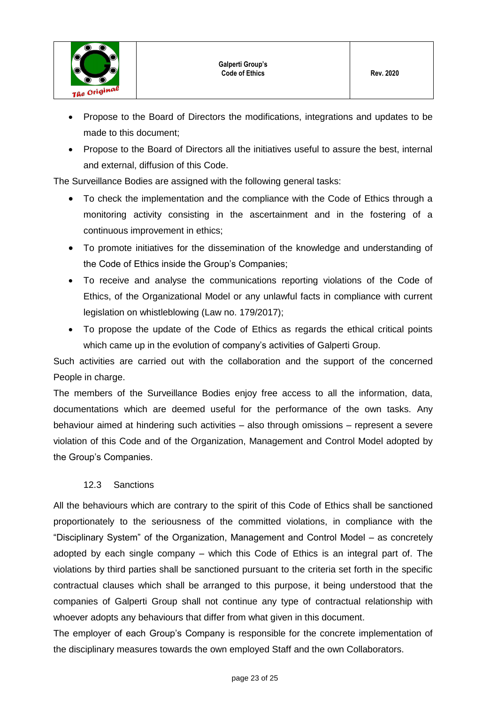

- Propose to the Board of Directors the modifications, integrations and updates to be made to this document;
- Propose to the Board of Directors all the initiatives useful to assure the best, internal and external, diffusion of this Code.

The Surveillance Bodies are assigned with the following general tasks:

- To check the implementation and the compliance with the Code of Ethics through a monitoring activity consisting in the ascertainment and in the fostering of a continuous improvement in ethics;
- To promote initiatives for the dissemination of the knowledge and understanding of the Code of Ethics inside the Group's Companies;
- To receive and analyse the communications reporting violations of the Code of Ethics, of the Organizational Model or any unlawful facts in compliance with current legislation on whistleblowing (Law no. 179/2017);
- To propose the update of the Code of Ethics as regards the ethical critical points which came up in the evolution of company's activities of Galperti Group.

Such activities are carried out with the collaboration and the support of the concerned People in charge.

The members of the Surveillance Bodies enjoy free access to all the information, data, documentations which are deemed useful for the performance of the own tasks. Any behaviour aimed at hindering such activities – also through omissions – represent a severe violation of this Code and of the Organization, Management and Control Model adopted by the Group's Companies.

## 12.3 Sanctions

<span id="page-22-0"></span>All the behaviours which are contrary to the spirit of this Code of Ethics shall be sanctioned proportionately to the seriousness of the committed violations, in compliance with the "Disciplinary System" of the Organization, Management and Control Model – as concretely adopted by each single company – which this Code of Ethics is an integral part of. The violations by third parties shall be sanctioned pursuant to the criteria set forth in the specific contractual clauses which shall be arranged to this purpose, it being understood that the companies of Galperti Group shall not continue any type of contractual relationship with whoever adopts any behaviours that differ from what given in this document.

The employer of each Group's Company is responsible for the concrete implementation of the disciplinary measures towards the own employed Staff and the own Collaborators.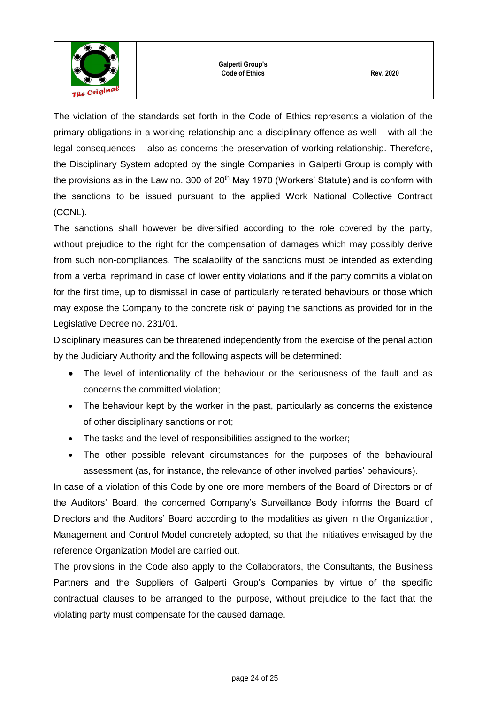

The violation of the standards set forth in the Code of Ethics represents a violation of the primary obligations in a working relationship and a disciplinary offence as well – with all the legal consequences – also as concerns the preservation of working relationship. Therefore, the Disciplinary System adopted by the single Companies in Galperti Group is comply with the provisions as in the Law no. 300 of  $20<sup>th</sup>$  May 1970 (Workers' Statute) and is conform with the sanctions to be issued pursuant to the applied Work National Collective Contract (CCNL).

The sanctions shall however be diversified according to the role covered by the party, without prejudice to the right for the compensation of damages which may possibly derive from such non-compliances. The scalability of the sanctions must be intended as extending from a verbal reprimand in case of lower entity violations and if the party commits a violation for the first time, up to dismissal in case of particularly reiterated behaviours or those which may expose the Company to the concrete risk of paying the sanctions as provided for in the Legislative Decree no. 231/01.

Disciplinary measures can be threatened independently from the exercise of the penal action by the Judiciary Authority and the following aspects will be determined:

- The level of intentionality of the behaviour or the seriousness of the fault and as concerns the committed violation;
- The behaviour kept by the worker in the past, particularly as concerns the existence of other disciplinary sanctions or not;
- The tasks and the level of responsibilities assigned to the worker;
- The other possible relevant circumstances for the purposes of the behavioural assessment (as, for instance, the relevance of other involved parties' behaviours).

In case of a violation of this Code by one ore more members of the Board of Directors or of the Auditors' Board, the concerned Company's Surveillance Body informs the Board of Directors and the Auditors' Board according to the modalities as given in the Organization, Management and Control Model concretely adopted, so that the initiatives envisaged by the reference Organization Model are carried out.

The provisions in the Code also apply to the Collaborators, the Consultants, the Business Partners and the Suppliers of Galperti Group's Companies by virtue of the specific contractual clauses to be arranged to the purpose, without prejudice to the fact that the violating party must compensate for the caused damage.